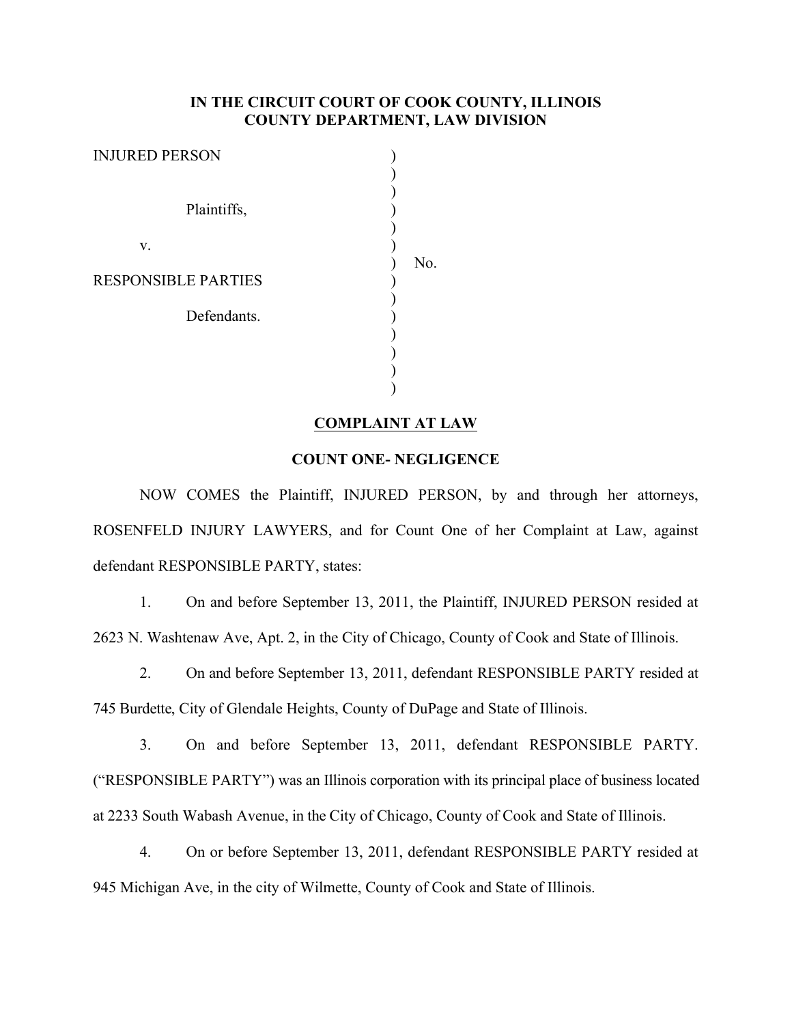# **IN THE CIRCUIT COURT OF COOK COUNTY, ILLINOIS COUNTY DEPARTMENT, LAW DIVISION**

| <b>INJURED PERSON</b>      |     |
|----------------------------|-----|
|                            |     |
|                            |     |
| Plaintiffs,                |     |
|                            |     |
| V.                         |     |
|                            | No. |
| <b>RESPONSIBLE PARTIES</b> |     |
|                            |     |
| Defendants.                |     |
|                            |     |
|                            |     |
|                            |     |
|                            |     |

## **COMPLAINT AT LAW**

#### **COUNT ONE- NEGLIGENCE**

NOW COMES the Plaintiff, INJURED PERSON, by and through her attorneys, ROSENFELD INJURY LAWYERS, and for Count One of her Complaint at Law, against defendant RESPONSIBLE PARTY, states:

1. On and before September 13, 2011, the Plaintiff, INJURED PERSON resided at 2623 N. Washtenaw Ave, Apt. 2, in the City of Chicago, County of Cook and State of Illinois.

2. On and before September 13, 2011, defendant RESPONSIBLE PARTY resided at 745 Burdette, City of Glendale Heights, County of DuPage and State of Illinois.

3. On and before September 13, 2011, defendant RESPONSIBLE PARTY. ("RESPONSIBLE PARTY") was an Illinois corporation with its principal place of business located at 2233 South Wabash Avenue, in the City of Chicago, County of Cook and State of Illinois.

4. On or before September 13, 2011, defendant RESPONSIBLE PARTY resided at 945 Michigan Ave, in the city of Wilmette, County of Cook and State of Illinois.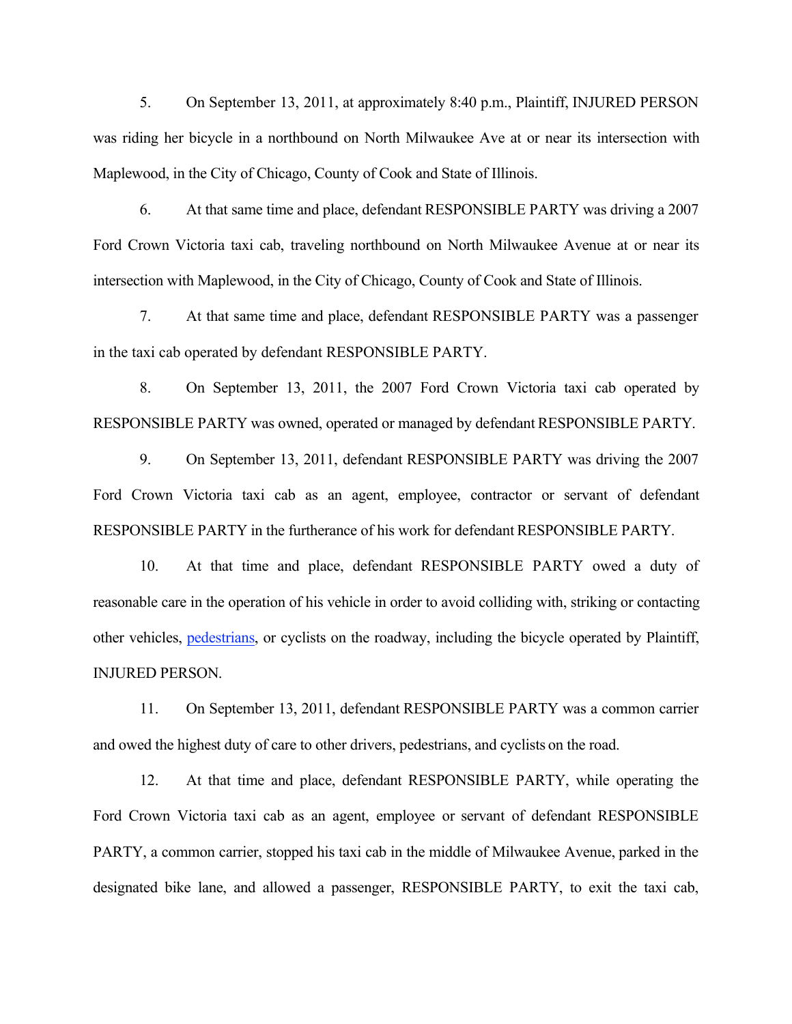5. On September 13, 2011, at approximately 8:40 p.m., Plaintiff, INJURED PERSON was riding her bicycle in a northbound on North Milwaukee Ave at or near its intersection with Maplewood, in the City of Chicago, County of Cook and State of Illinois.

6. At that same time and place, defendant RESPONSIBLE PARTY was driving a 2007 Ford Crown Victoria taxi cab, traveling northbound on North Milwaukee Avenue at or near its intersection with Maplewood, in the City of Chicago, County of Cook and State of Illinois.

7. At that same time and place, defendant RESPONSIBLE PARTY was a passenger in the taxi cab operated by defendant RESPONSIBLE PARTY.

8. On September 13, 2011, the 2007 Ford Crown Victoria taxi cab operated by RESPONSIBLE PARTY was owned, operated or managed by defendant RESPONSIBLE PARTY.

9. On September 13, 2011, defendant RESPONSIBLE PARTY was driving the 2007 Ford Crown Victoria taxi cab as an agent, employee, contractor or servant of defendant RESPONSIBLE PARTY in the furtherance of his work for defendant RESPONSIBLE PARTY.

10. At that time and place, defendant RESPONSIBLE PARTY owed a duty of reasonable care in the operation of his vehicle in order to avoid colliding with, striking or contacting other vehicles, pedestrians, or cyclists on the roadway, including the bicycle operated by Plaintiff, INJURED PERSON.

11. On September 13, 2011, defendant RESPONSIBLE PARTY was a common carrier and owed the highest duty of care to other drivers, pedestrians, and cyclists on the road.

12. At that time and place, defendant RESPONSIBLE PARTY, while operating the Ford Crown Victoria taxi cab as an agent, employee or servant of defendant RESPONSIBLE PARTY, a common carrier, stopped his taxi cab in the middle of Milwaukee Avenue, parked in the designated bike lane, and allowed a passenger, RESPONSIBLE PARTY, to exit the taxi cab,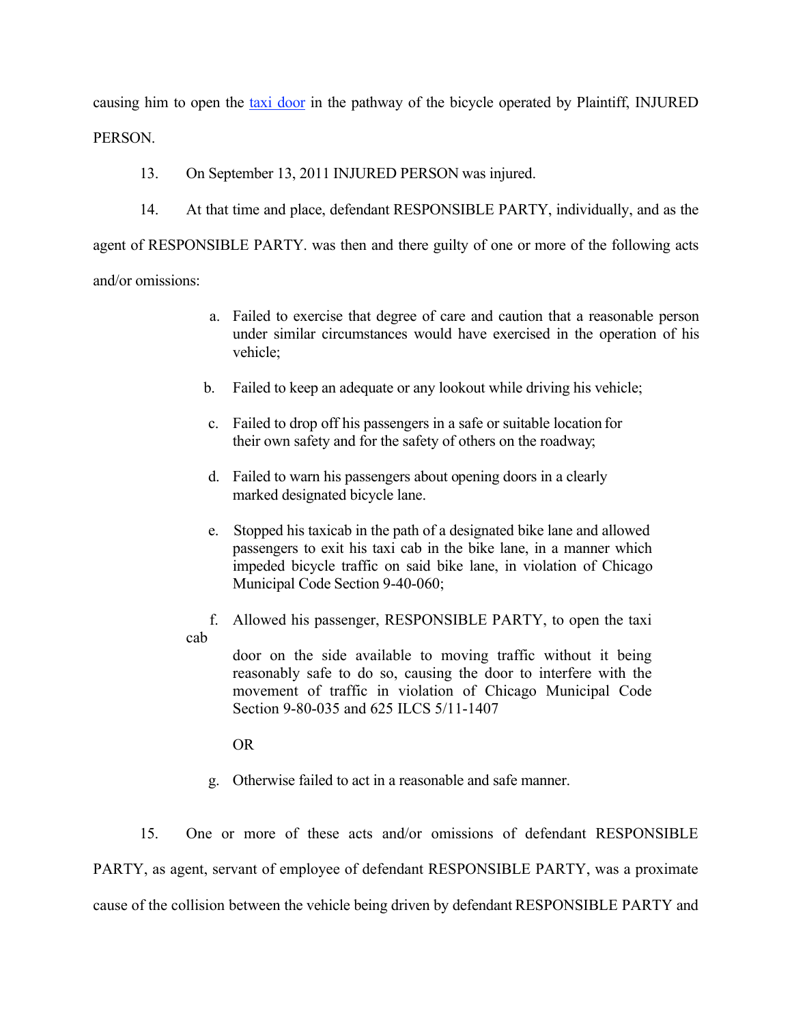causing him to open the taxi door in the pathway of the bicycle operated by Plaintiff, INJURED PERSON.

13. On September 13, 2011 INJURED PERSON was injured.

14. At that time and place, defendant RESPONSIBLE PARTY, individually, and as the

agent of RESPONSIBLE PARTY. was then and there guilty of one or more of the following acts

and/or omissions:

- a. Failed to exercise that degree of care and caution that a reasonable person under similar circumstances would have exercised in the operation of his vehicle;
- b. Failed to keep an adequate or any lookout while driving his vehicle;
- c. Failed to drop off his passengers in a safe or suitable location for their own safety and for the safety of others on the roadway;
- d. Failed to warn his passengers about opening doors in a clearly marked designated bicycle lane.
- e. Stopped his taxicab in the path of a designated bike lane and allowed passengers to exit his taxi cab in the bike lane, in a manner which impeded bicycle traffic on said bike lane, in violation of Chicago Municipal Code Section 9-40-060;

 f. Allowed his passenger, RESPONSIBLE PARTY, to open the taxi cab

door on the side available to moving traffic without it being reasonably safe to do so, causing the door to interfere with the movement of traffic in violation of Chicago Municipal Code Section 9-80-035 and 625 ILCS 5/11-1407

OR

g. Otherwise failed to act in a reasonable and safe manner.

15. One or more of these acts and/or omissions of defendant RESPONSIBLE PARTY, as agent, servant of employee of defendant RESPONSIBLE PARTY, was a proximate cause of the collision between the vehicle being driven by defendant RESPONSIBLE PARTY and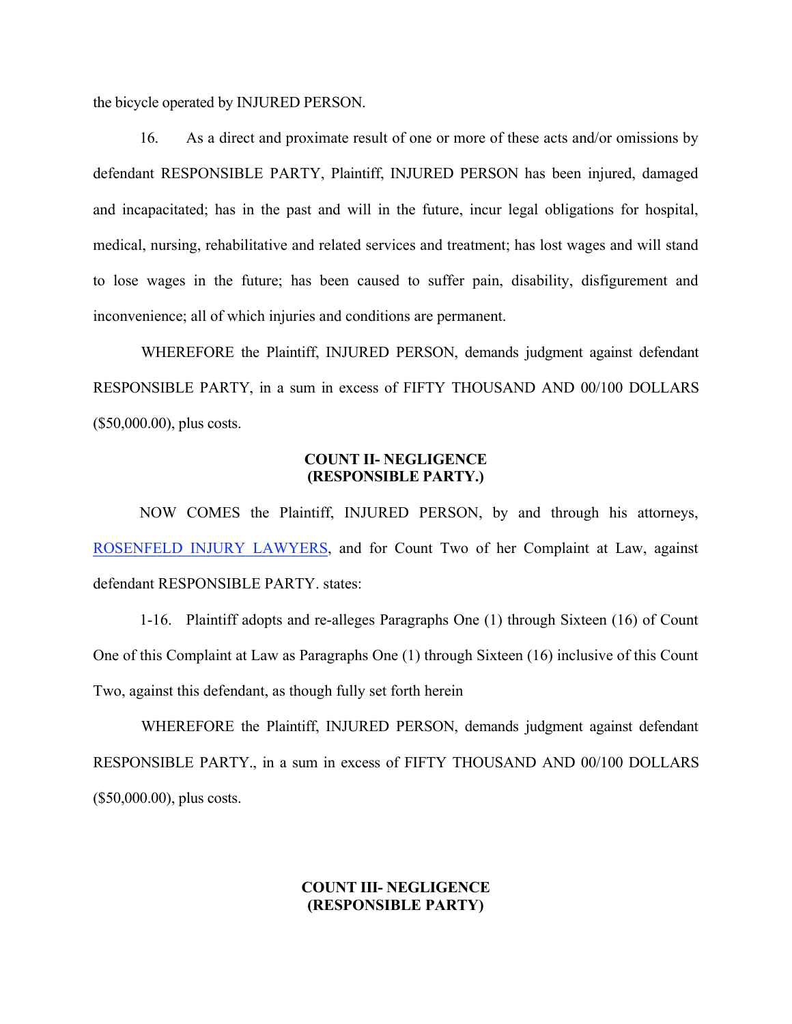the bicycle operated by INJURED PERSON.

16. As a direct and proximate result of one or more of these acts and/or omissions by defendant RESPONSIBLE PARTY, Plaintiff, INJURED PERSON has been injured, damaged and incapacitated; has in the past and will in the future, incur legal obligations for hospital, medical, nursing, rehabilitative and related services and treatment; has lost wages and will stand to lose wages in the future; has been caused to suffer pain, disability, disfigurement and inconvenience; all of which injuries and conditions are permanent.

WHEREFORE the Plaintiff, INJURED PERSON, demands judgment against defendant RESPONSIBLE PARTY, in a sum in excess of FIFTY THOUSAND AND 00/100 DOLLARS (\$50,000.00), plus costs.

## **COUNT II- NEGLIGENCE (RESPONSIBLE PARTY.)**

NOW COMES the Plaintiff, INJURED PERSON, by and through his attorneys, ROSENFELD INJURY LAWYERS, and for Count Two of her Complaint at Law, against defendant RESPONSIBLE PARTY. states:

1-16. Plaintiff adopts and re-alleges Paragraphs One (1) through Sixteen (16) of Count One of this Complaint at Law as Paragraphs One (1) through Sixteen (16) inclusive of this Count Two, against this defendant, as though fully set forth herein

WHEREFORE the Plaintiff, INJURED PERSON, demands judgment against defendant RESPONSIBLE PARTY., in a sum in excess of FIFTY THOUSAND AND 00/100 DOLLARS (\$50,000.00), plus costs.

# **COUNT III- NEGLIGENCE (RESPONSIBLE PARTY)**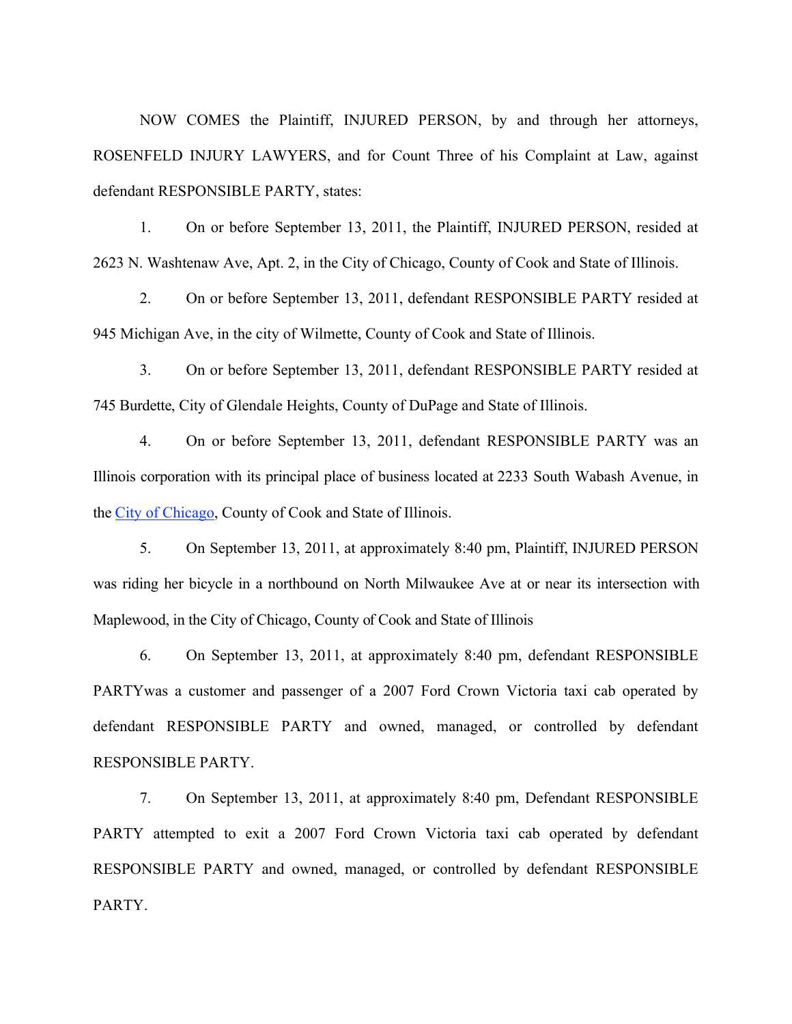NOW COMES the Plaintiff, INJURED PERSON, by and through her attorneys, ROSENFELD INJURY LAWYERS, and for Count Three of his Complaint at Law, against defendant RESPONSIBLE PARTY, states:

1. On or before September 13, 2011, the Plaintiff, INJURED PERSON, resided at 2623 N. Washtenaw Ave, Apt. 2, in the City of Chicago, County of Cook and State of Illinois.

2. On or before September 13, 2011, defendant RESPONSIBLE PARTY resided at 945 Michigan Ave, in the city of Wilmette, County of Cook and State of Illinois.

3. On or before September 13, 2011, defendant RESPONSIBLE PARTY resided at 745 Burdette, City of Glendale Heights, County of DuPage and State of Illinois.

4. On or before September 13, 2011, defendant RESPONSIBLE PARTY was an Illinois corporation with its principal place of business located at 2233 South Wabash Avenue, in the City of Chicago, County of Cook and State of Illinois.

5. On September 13, 2011, at approximately 8:40 pm, Plaintiff, INJURED PERSON was riding her bicycle in a northbound on North Milwaukee Ave at or near its intersection with Maplewood, in the City of Chicago, County of Cook and State of Illinois

6. On September 13, 2011, at approximately 8:40 pm, defendant RESPONSIBLE PARTYwas a customer and passenger of a 2007 Ford Crown Victoria taxi cab operated by defendant RESPONSIBLE PARTY and owned, managed, or controlled by defendant RESPONSIBLE PARTY.

7. On September 13, 2011, at approximately 8:40 pm, Defendant RESPONSIBLE PARTY attempted to exit a 2007 Ford Crown Victoria taxi cab operated by defendant RESPONSIBLE PARTY and owned, managed, or controlled by defendant RESPONSIBLE PARTY.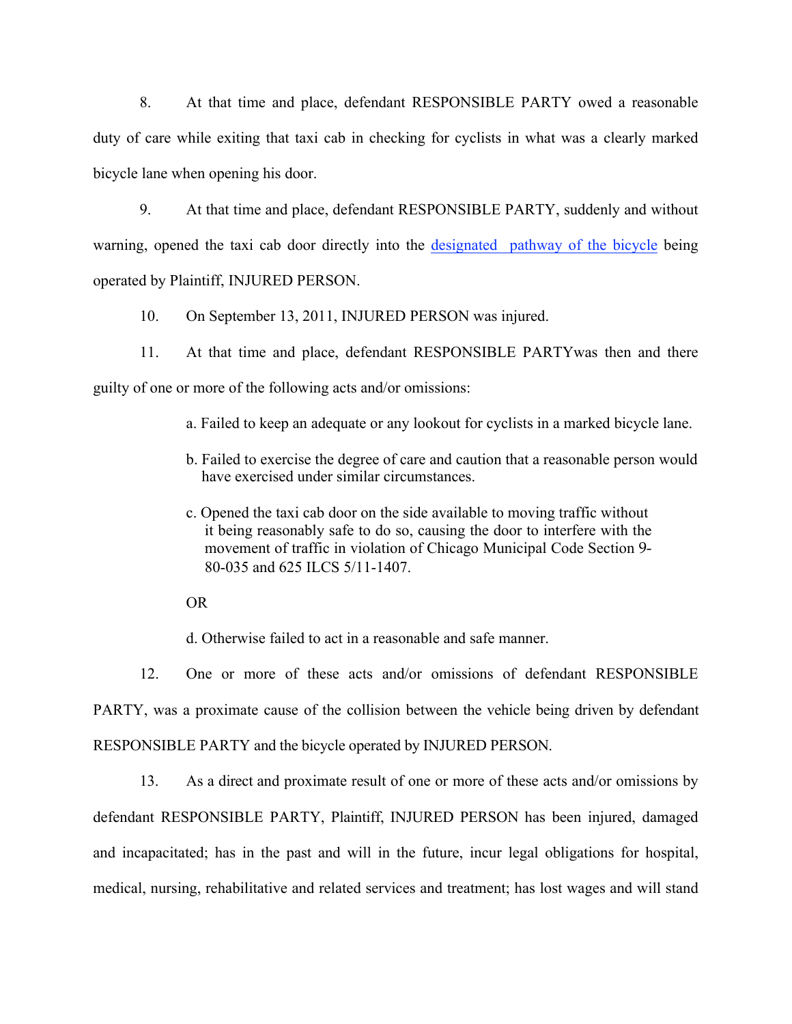8. At that time and place, defendant RESPONSIBLE PARTY owed a reasonable duty of care while exiting that taxi cab in checking for cyclists in what was a clearly marked bicycle lane when opening his door.

9. At that time and place, defendant RESPONSIBLE PARTY, suddenly and without warning, opened the taxi cab door directly into the designated pathway of the bicycle being operated by Plaintiff, INJURED PERSON.

10. On September 13, 2011, INJURED PERSON was injured.

11. At that time and place, defendant RESPONSIBLE PARTYwas then and there guilty of one or more of the following acts and/or omissions:

a. Failed to keep an adequate or any lookout for cyclists in a marked bicycle lane.

- b. Failed to exercise the degree of care and caution that a reasonable person would have exercised under similar circumstances.
- c. Opened the taxi cab door on the side available to moving traffic without it being reasonably safe to do so, causing the door to interfere with the movement of traffic in violation of Chicago Municipal Code Section 9- 80-035 and 625 ILCS 5/11-1407.

OR

d. Otherwise failed to act in a reasonable and safe manner.

12. One or more of these acts and/or omissions of defendant RESPONSIBLE PARTY, was a proximate cause of the collision between the vehicle being driven by defendant RESPONSIBLE PARTY and the bicycle operated by INJURED PERSON.

13. As a direct and proximate result of one or more of these acts and/or omissions by defendant RESPONSIBLE PARTY, Plaintiff, INJURED PERSON has been injured, damaged and incapacitated; has in the past and will in the future, incur legal obligations for hospital, medical, nursing, rehabilitative and related services and treatment; has lost wages and will stand